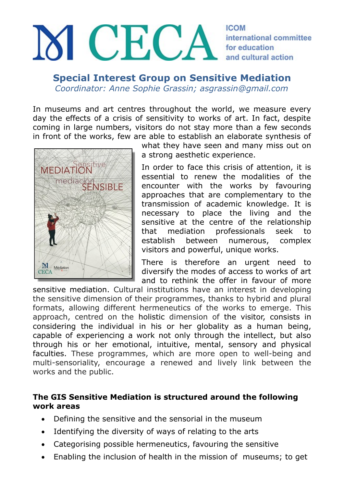## M CECA **ICOM** international committee for education and cultural action

**Special Interest Group on Sensitive Mediation** *Coordinator: Anne Sophie Grassin; asgrassin@gmail.com*

In museums and art centres throughout the world, we measure every

day the effects of a crisis of sensitivity to works of art. In fact, despite coming in large numbers, visitors do not stay more than a few seconds in front of the works, few are able to establish an elaborate synthesis of



what they have seen and many miss out on a strong aesthetic experience.

In order to face this crisis of attention, it is essential to renew the modalities of the encounter with the works by favouring approaches that are complementary to the transmission of academic knowledge. It is necessary to place the living and the sensitive at the centre of the relationship that mediation professionals seek to establish between numerous, complex visitors and powerful, unique works.

There is therefore an urgent need to diversify the modes of access to works of art and to rethink the offer in favour of more

sensitive mediation. Cultural institutions have an interest in developing the sensitive dimension of their programmes, thanks to hybrid and plural formats, allowing different hermeneutics of the works to emerge. This approach, centred on the holistic dimension of the visitor, consists in considering the individual in his or her globality as a human being, capable of experiencing a work not only through the intellect, but also through his or her emotional, intuitive, mental, sensory and physical faculties. These programmes, which are more open to well-being and multi-sensoriality, encourage a renewed and lively link between the works and the public.

## **The GIS Sensitive Mediation is structured around the following work areas**

- Defining the sensitive and the sensorial in the museum
- Identifying the diversity of ways of relating to the arts
- Categorising possible hermeneutics, favouring the sensitive
- Enabling the inclusion of health in the mission of museums; to get